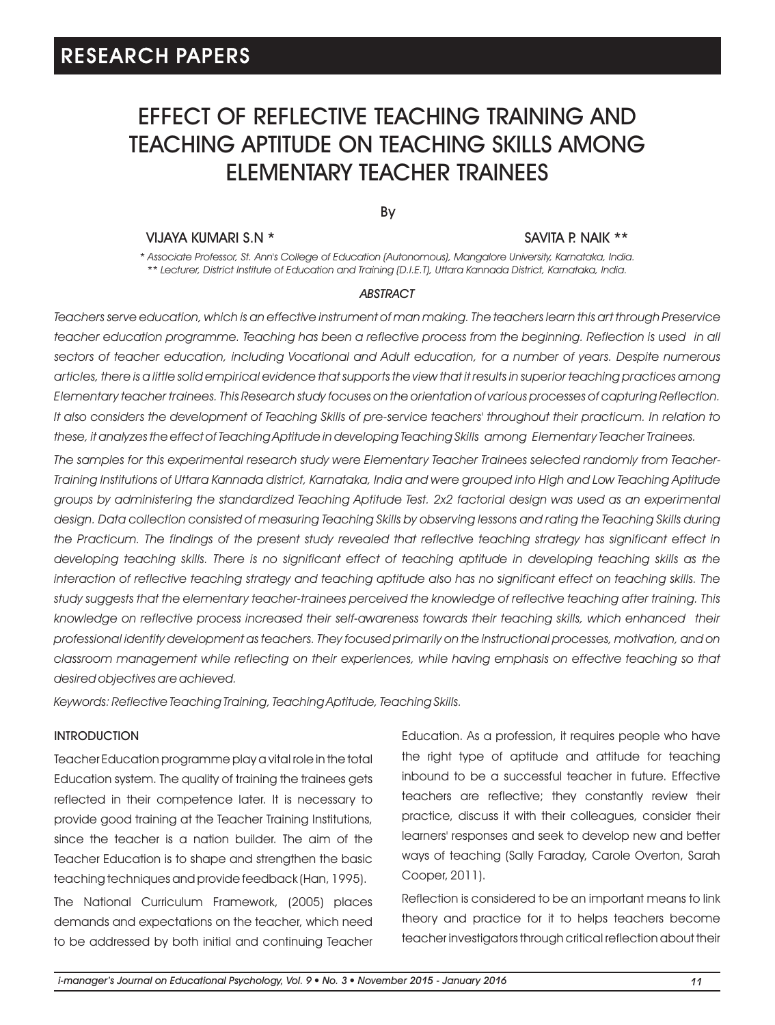# EFFECT OF REFLECTIVE TEACHING TRAINING AND TEACHING APTITUDE ON TEACHING SKILLS AMONG ELEMENTARY TEACHER TRAINEES

By

#### VIJAYA KUMARI S.N \* SAVITA P. NAIK \*\*

*\* Associate Professor, St. Ann's College of Education (Autonomous), Mangalore University, Karnataka, India. \*\* Lecturer, District Institute of Education and Training (D.I.E.T), Uttara Kannada District, Karnataka, India.* 

#### *ABSTRACT*

*Teachers serve education, which is an effective instrument of man making. The teachers learn this art through Preservice*  teacher education programme. Teaching has been a reflective process from the beginning. Reflection is used in all *sectors of teacher education, including Vocational and Adult education, for a number of years. Despite numerous articles, there is a little solid empirical evidence that supports the view that it results in superior teaching practices among Elementary teacher trainees. This Research study focuses on the orientation of various processes of capturing Reflection. It also considers the development of Teaching Skills of pre-service teachers' throughout their practicum. In relation to these, it analyzes the effect of Teaching Aptitude in developing Teaching Skills among Elementary Teacher Trainees.*

*The samples for this experimental research study were Elementary Teacher Trainees selected randomly from Teacher-Training Institutions of Uttara Kannada district, Karnataka, India and were grouped into High and Low Teaching Aptitude groups by administering the standardized Teaching Aptitude Test. 2x2 factorial design was used as an experimental design. Data collection consisted of measuring Teaching Skills by observing lessons and rating the Teaching Skills during the Practicum. The findings of the present study revealed that reflective teaching strategy has significant effect in developing teaching skills. There is no significant effect of teaching aptitude in developing teaching skills as the interaction of reflective teaching strategy and teaching aptitude also has no significant effect on teaching skills. The study suggests that the elementary teacher-trainees perceived the knowledge of reflective teaching after training. This*  knowledge on reflective process increased their self-awareness towards their teaching skills, which enhanced their *professional identity development as teachers. They focused primarily on the instructional processes, motivation, and on classroom management while reflecting on their experiences, while having emphasis on effective teaching so that desired objectives are achieved.*

*Keywords: Reflective Teaching Training, Teaching Aptitude, Teaching Skills.*

#### INTRODUCTION

Teacher Education programme play a vital role in the total Education system. The quality of training the trainees gets reflected in their competence later. It is necessary to provide good training at the Teacher Training Institutions, since the teacher is a nation builder. The aim of the Teacher Education is to shape and strengthen the basic teaching techniques and provide feedback (Han, 1995). The National Curriculum Framework, (2005) places demands and expectations on the teacher, which need to be addressed by both initial and continuing Teacher Education. As a profession, it requires people who have the right type of aptitude and attitude for teaching inbound to be a successful teacher in future. Effective teachers are reflective; they constantly review their practice, discuss it with their colleagues, consider their learners' responses and seek to develop new and better ways of teaching (Sally Faraday, Carole Overton, Sarah Cooper, 2011).

Reflection is considered to be an important means to link theory and practice for it to helps teachers become teacher investigators through critical reflection about their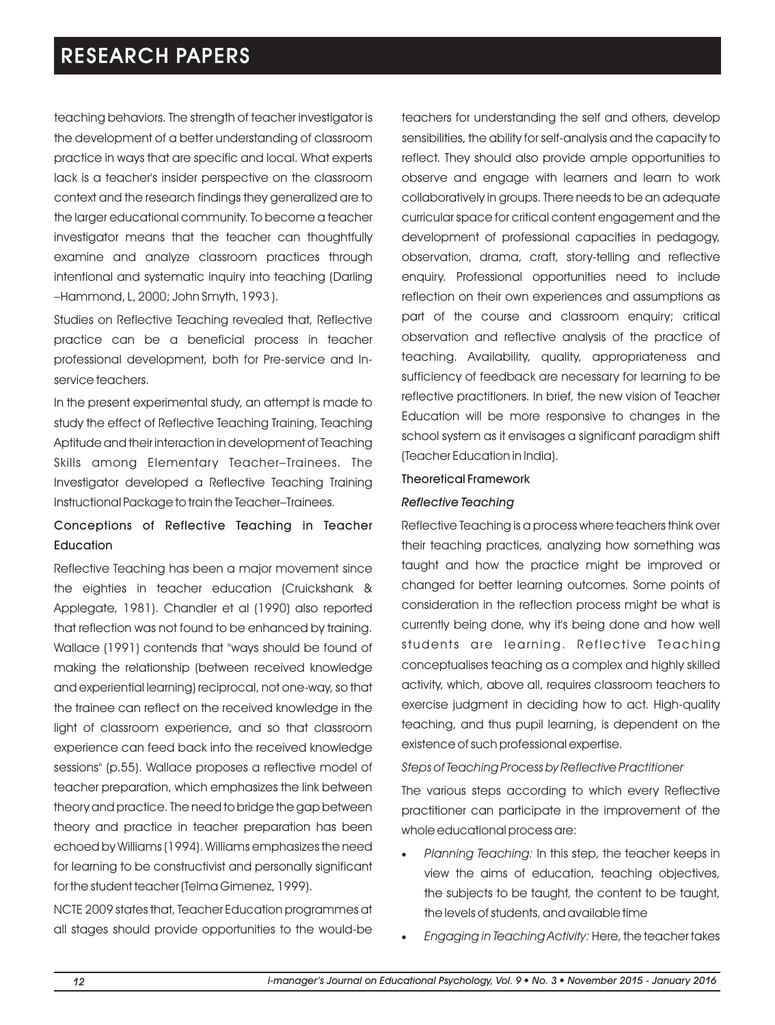teaching behaviors. The strength of teacher investigator is the development of a better understanding of classroom practice in ways that are specific and local. What experts lack is a teacher's insider perspective on the classroom context and the research findings they generalized are to the larger educational community. To become a teacher investigator means that the teacher can thoughtfully examine and analyze classroom practices through intentional and systematic inquiry into teaching (Darling –Hammond, L, 2000; John Smyth, 1993 ).

Studies on Reflective Teaching revealed that, Reflective practice can be a beneficial process in teacher professional development, both for Pre-service and Inservice teachers.

In the present experimental study, an attempt is made to study the effect of Reflective Teaching Training, Teaching Aptitude and their interaction in development of Teaching Skills among Elementary Teacher-Trainees. The Investigator developed a Reflective Teaching Training Instructional Package to train the Teacher–Trainees.

### Conceptions of Reflective Teaching in Teacher **Education**

Reflective Teaching has been a major movement since the eighties in teacher education (Cruickshank & Applegate, 1981). Chandler et al (1990) also reported that reflection was not found to be enhanced by training. Wallace (1991) contends that "ways should be found of making the relationship (between received knowledge and experiential learning) reciprocal, not one-way, so that the trainee can reflect on the received knowledge in the light of classroom experience, and so that classroom experience can feed back into the received knowledge sessions" (p.55). Wallace proposes a reflective model of teacher preparation, which emphasizes the link between theory and practice. The need to bridge the gap between theory and practice in teacher preparation has been echoed by Williams (1994). Williams emphasizes the need for learning to be constructivist and personally significant for the student teacher (Telma Gimenez, 1999).

NCTE 2009 states that, Teacher Education programmes at all stages should provide opportunities to the would-be teachers for understanding the self and others, develop sensibilities, the ability for self-analysis and the capacity to reflect. They should also provide ample opportunities to observe and engage with learners and learn to work collaboratively in groups. There needs to be an adequate curricular space for critical content engagement and the development of professional capacities in pedagogy, observation, drama, craft, story-telling and reflective enquiry. Professional opportunities need to include reflection on their own experiences and assumptions as part of the course and classroom enquiry; critical observation and reflective analysis of the practice of teaching. Availability, quality, appropriateness and sufficiency of feedback are necessary for learning to be reflective practitioners. In brief, the new vision of Teacher Education will be more responsive to changes in the school system as it envisages a significant paradigm shift (Teacher Education in India).

#### Theoretical Framework

#### *Reflective Teaching*

Reflective Teaching is a process where teachers think over their teaching practices, analyzing how something was taught and how the practice might be improved or changed for better learning outcomes. Some points of consideration in the reflection process might be what is currently being done, why it's being done and how well students are learning. Reflective Teaching conceptualises teaching as a complex and highly skilled activity, which, above all, requires classroom teachers to exercise judgment in deciding how to act. High-quality teaching, and thus pupil learning, is dependent on the existence of such professional expertise.

*Steps of Teaching Process by Reflective Practitioner*

The various steps according to which every Reflective practitioner can participate in the improvement of the whole educational process are:

- ·*Planning Teaching:* In this step, the teacher keeps in view the aims of education, teaching objectives, the subjects to be taught, the content to be taught, the levels of students, and available time
- ·*Engaging in Teaching Activity:* Here, the teacher takes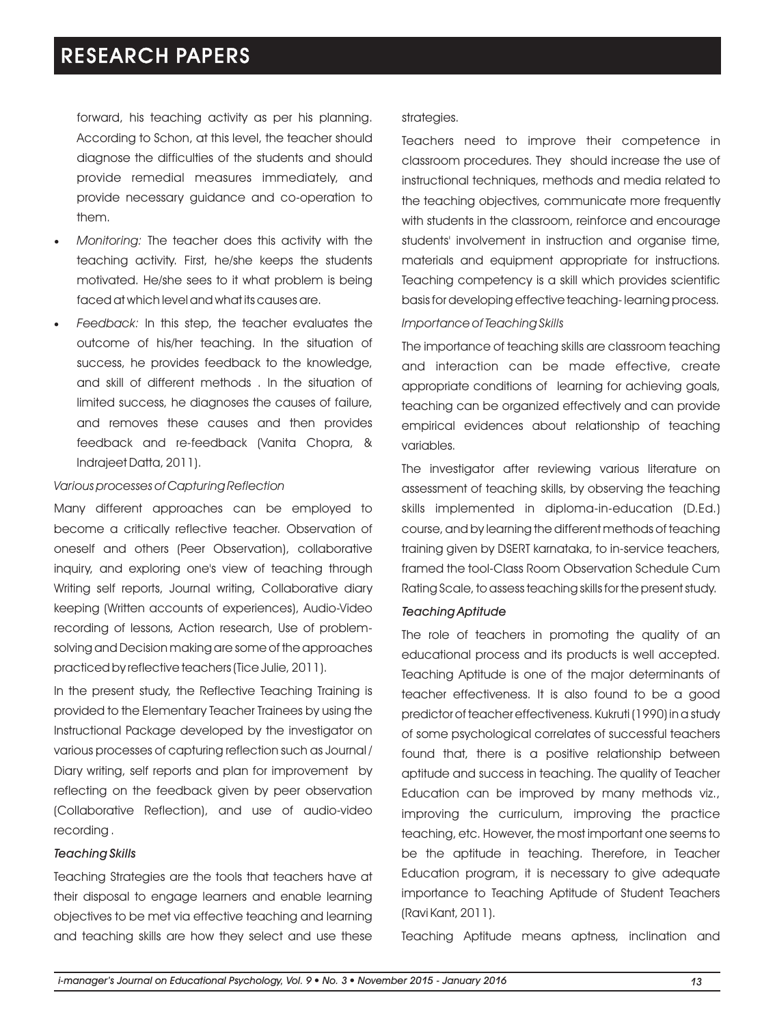forward, his teaching activity as per his planning. According to Schon, at this level, the teacher should diagnose the difficulties of the students and should provide remedial measures immediately, and provide necessary guidance and co-operation to them.

- ·*Monitoring:* The teacher does this activity with the teaching activity. First, he/she keeps the students motivated. He/she sees to it what problem is being faced at which level and what its causes are.
- Feedback: In this step, the teacher evaluates the outcome of his/her teaching. In the situation of success, he provides feedback to the knowledge, and skill of different methods . In the situation of limited success, he diagnoses the causes of failure, and removes these causes and then provides feedback and re-feedback (Vanita Chopra, & Indrajeet Datta, 2011).

#### *Various processes of Capturing Reflection*

Many different approaches can be employed to become a critically reflective teacher. Observation of oneself and others (Peer Observation), collaborative inquiry, and exploring one's view of teaching through Writing self reports, Journal writing, Collaborative diary keeping (Written accounts of experiences), Audio-Video recording of lessons, Action research, Use of problemsolving and Decision making are some of the approaches practiced by reflective teachers (Tice Julie, 2011).

In the present study, the Reflective Teaching Training is provided to the Elementary Teacher Trainees by using the Instructional Package developed by the investigator on various processes of capturing reflection such as Journal / Diary writing, self reports and plan for improvement by reflecting on the feedback given by peer observation (Collaborative Reflection), and use of audio-video recording .

#### *Teaching Skills*

Teaching Strategies are the tools that teachers have at their disposal to engage learners and enable learning objectives to be met via effective teaching and learning and teaching skills are how they select and use these

#### strategies.

Teachers need to improve their competence in classroom procedures. They should increase the use of instructional techniques, methods and media related to the teaching objectives, communicate more frequently with students in the classroom, reinforce and encourage students' involvement in instruction and organise time, materials and equipment appropriate for instructions. Teaching competency is a skill which provides scientific basis for developing effective teaching- learning process.

#### *Importance of Teaching Skills*

The importance of teaching skills are classroom teaching and interaction can be made effective, create appropriate conditions of learning for achieving goals, teaching can be organized effectively and can provide empirical evidences about relationship of teaching variables.

The investigator after reviewing various literature on assessment of teaching skills, by observing the teaching skills implemented in diploma-in-education (D.Ed.) course, and by learning the different methods of teaching training given by DSERT karnataka, to in-service teachers, framed the tool-Class Room Observation Schedule Cum Rating Scale, to assess teaching skills for the present study.

### *Teaching Aptitude*

The role of teachers in promoting the quality of an educational process and its products is well accepted. Teaching Aptitude is one of the major determinants of teacher effectiveness. It is also found to be a good predictor of teacher effectiveness. Kukruti (1990) in a study of some psychological correlates of successful teachers found that, there is a positive relationship between aptitude and success in teaching. The quality of Teacher Education can be improved by many methods viz., improving the curriculum, improving the practice teaching, etc. However, the most important one seems to be the aptitude in teaching. Therefore, in Teacher Education program, it is necessary to give adequate importance to Teaching Aptitude of Student Teachers (Ravi Kant, 2011).

Teaching Aptitude means aptness, inclination and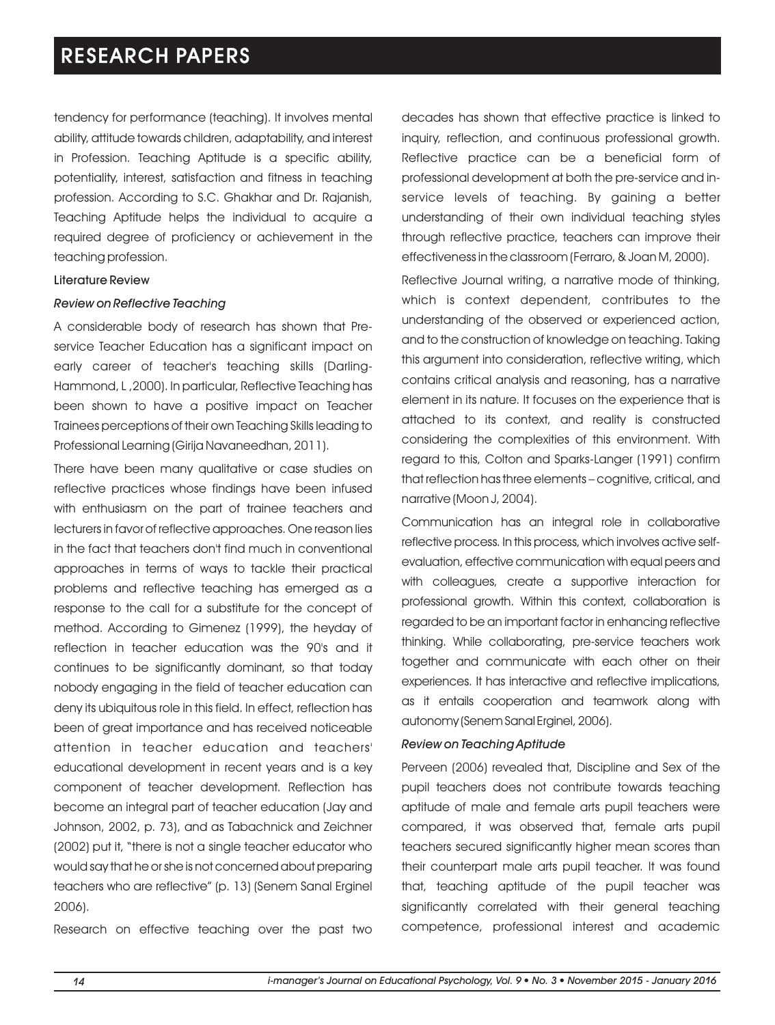tendency for performance (teaching). It involves mental ability, attitude towards children, adaptability, and interest in Profession. Teaching Aptitude is a specific ability, potentiality, interest, satisfaction and fitness in teaching profession. According to S.C. Ghakhar and Dr. Rajanish, Teaching Aptitude helps the individual to acquire a required degree of proficiency or achievement in the teaching profession.

#### Literature Review

#### *Review on Reflective Teaching*

A considerable body of research has shown that Preservice Teacher Education has a significant impact on early career of teacher's teaching skills (Darling-Hammond, L ,2000). In particular, Reflective Teaching has been shown to have a positive impact on Teacher Trainees perceptions of their own Teaching Skills leading to Professional Learning (Girija Navaneedhan, 2011).

There have been many qualitative or case studies on reflective practices whose findings have been infused with enthusiasm on the part of trainee teachers and lecturers in favor of reflective approaches. One reason lies in the fact that teachers don't find much in conventional approaches in terms of ways to tackle their practical problems and reflective teaching has emerged as a response to the call for a substitute for the concept of method. According to Gimenez (1999), the heyday of reflection in teacher education was the 90's and it continues to be significantly dominant, so that today nobody engaging in the field of teacher education can deny its ubiquitous role in this field. In effect, reflection has been of great importance and has received noticeable attention in teacher education and teachers' educational development in recent years and is a key component of teacher development. Reflection has become an integral part of teacher education (Jay and Johnson, 2002, p. 73), and as Tabachnick and Zeichner (2002) put it, "there is not a single teacher educator who would say that he or she is not concerned about preparing teachers who are reflective" (p. 13) (Senem Sanal Erginel 2006).

Research on effective teaching over the past two

decades has shown that effective practice is linked to inquiry, reflection, and continuous professional growth. Reflective practice can be a beneficial form of professional development at both the pre-service and inservice levels of teaching. By gaining a better understanding of their own individual teaching styles through reflective practice, teachers can improve their effectiveness in the classroom (Ferraro, & Joan M, 2000).

Reflective Journal writing, a narrative mode of thinking, which is context dependent, contributes to the understanding of the observed or experienced action, and to the construction of knowledge on teaching. Taking this argument into consideration, reflective writing, which contains critical analysis and reasoning, has a narrative element in its nature. It focuses on the experience that is attached to its context, and reality is constructed considering the complexities of this environment. With regard to this, Colton and Sparks-Langer (1991) confirm that reflection has three elements – cognitive, critical, and narrative (Moon J, 2004).

Communication has an integral role in collaborative reflective process. In this process, which involves active selfevaluation, effective communication with equal peers and with colleagues, create a supportive interaction for professional growth. Within this context, collaboration is regarded to be an important factor in enhancing reflective thinking. While collaborating, pre-service teachers work together and communicate with each other on their experiences. It has interactive and reflective implications, as it entails cooperation and teamwork along with autonomy (Senem Sanal Erginel, 2006).

#### *Review on Teaching Aptitude*

Perveen (2006) revealed that, Discipline and Sex of the pupil teachers does not contribute towards teaching aptitude of male and female arts pupil teachers were compared, it was observed that, female arts pupil teachers secured significantly higher mean scores than their counterpart male arts pupil teacher. It was found that, teaching aptitude of the pupil teacher was significantly correlated with their general teaching competence, professional interest and academic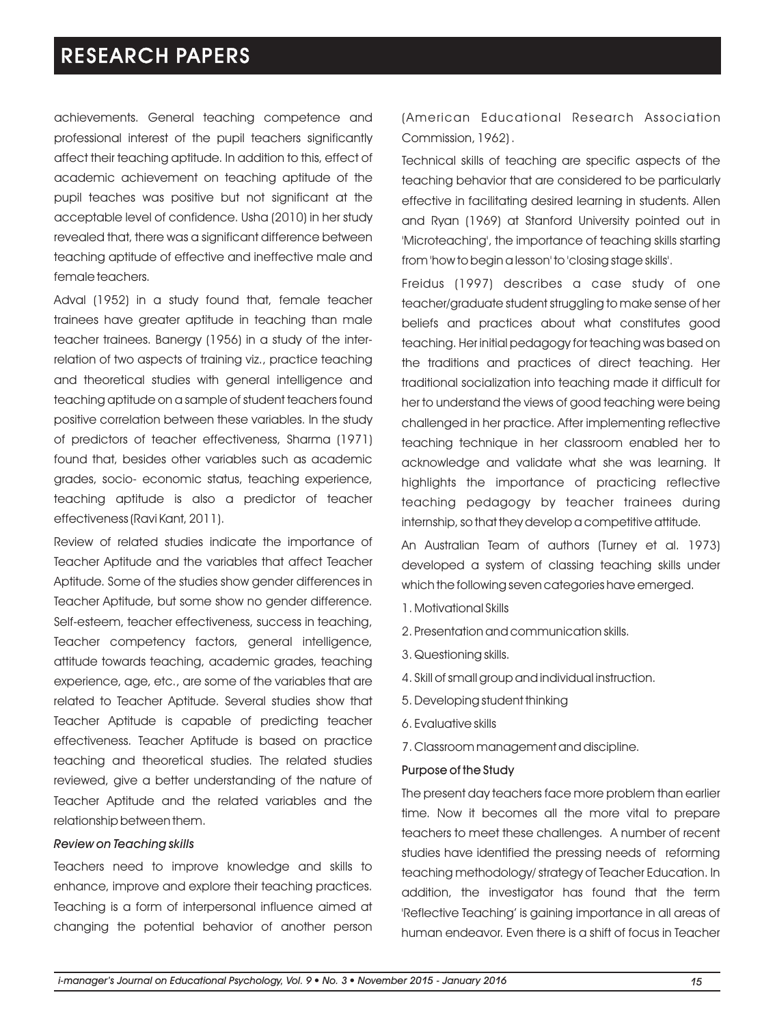achievements. General teaching competence and professional interest of the pupil teachers significantly affect their teaching aptitude. In addition to this, effect of academic achievement on teaching aptitude of the pupil teaches was positive but not significant at the acceptable level of confidence. Usha (2010) in her study revealed that, there was a significant difference between teaching aptitude of effective and ineffective male and female teachers.

Adval (1952) in a study found that, female teacher trainees have greater aptitude in teaching than male teacher trainees. Banergy (1956) in a study of the interrelation of two aspects of training viz., practice teaching and theoretical studies with general intelligence and teaching aptitude on a sample of student teachers found positive correlation between these variables. In the study of predictors of teacher effectiveness, Sharma (1971) found that, besides other variables such as academic grades, socio- economic status, teaching experience, teaching aptitude is also a predictor of teacher effectiveness (Ravi Kant, 2011).

Review of related studies indicate the importance of Teacher Aptitude and the variables that affect Teacher Aptitude. Some of the studies show gender differences in Teacher Aptitude, but some show no gender difference. Self-esteem, teacher effectiveness, success in teaching, Teacher competency factors, general intelligence, attitude towards teaching, academic grades, teaching experience, age, etc., are some of the variables that are related to Teacher Aptitude. Several studies show that Teacher Aptitude is capable of predicting teacher effectiveness. Teacher Aptitude is based on practice teaching and theoretical studies. The related studies reviewed, give a better understanding of the nature of Teacher Aptitude and the related variables and the relationship between them.

#### *Review on Teaching skills*

Teachers need to improve knowledge and skills to enhance, improve and explore their teaching practices. Teaching is a form of interpersonal influence aimed at changing the potential behavior of another person (American Educational Research Association Commission, 1962) .

Technical skills of teaching are specific aspects of the teaching behavior that are considered to be particularly effective in facilitating desired learning in students. Allen and Ryan (1969) at Stanford University pointed out in 'Microteaching', the importance of teaching skills starting from 'how to begin a lesson' to 'closing stage skills'.

Freidus (1997) describes a case study of one teacher/graduate student struggling to make sense of her beliefs and practices about what constitutes good teaching. Her initial pedagogy for teaching was based on the traditions and practices of direct teaching. Her traditional socialization into teaching made it difficult for her to understand the views of good teaching were being challenged in her practice. After implementing reflective teaching technique in her classroom enabled her to acknowledge and validate what she was learning. It highlights the importance of practicing reflective teaching pedagogy by teacher trainees during internship, so that they develop a competitive attitude.

An Australian Team of authors (Turney et al. 1973) developed a system of classing teaching skills under which the following seven categories have emerged.

- 1. Motivational Skills
- 2. Presentation and communication skills.
- 3. Questioning skills.
- 4. Skill of small group and individual instruction.
- 5. Developing student thinking
- 6. Evaluative skills
- 7. Classroom management and discipline.

#### Purpose of the Study

The present day teachers face more problem than earlier time. Now it becomes all the more vital to prepare teachers to meet these challenges. A number of recent studies have identified the pressing needs of reforming teaching methodology/ strategy of Teacher Education. In addition, the investigator has found that the term 'Reflective Teaching' is gaining importance in all areas of human endeavor. Even there is a shift of focus in Teacher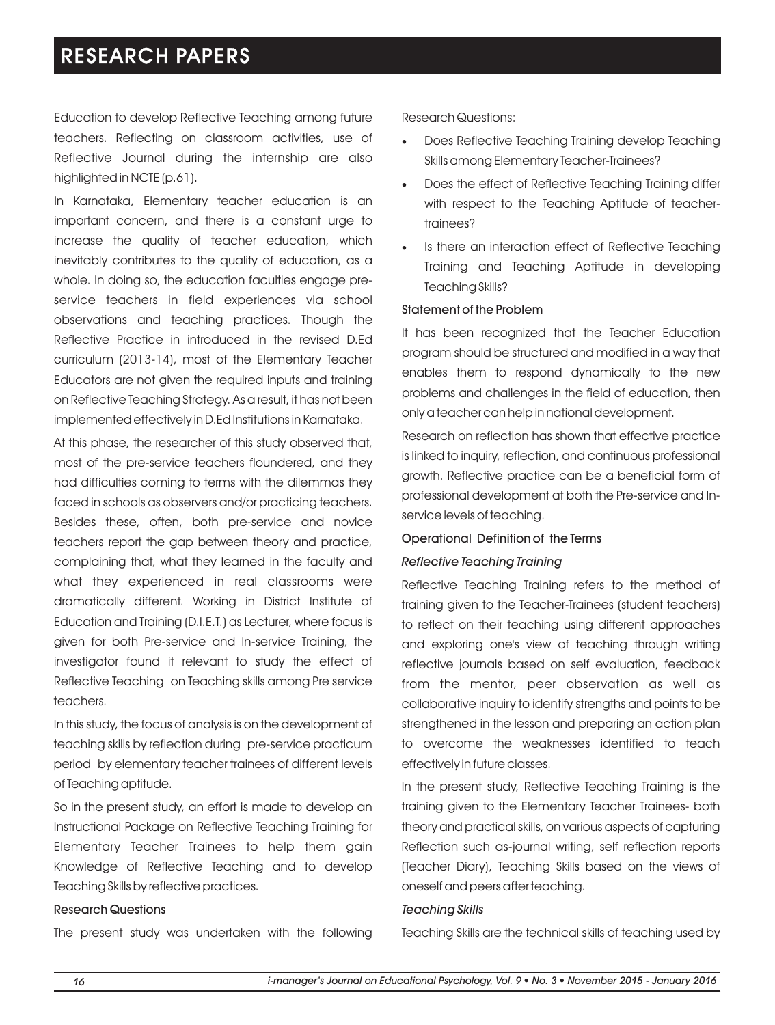Education to develop Reflective Teaching among future teachers. Reflecting on classroom activities, use of Reflective Journal during the internship are also highlighted in NCTE (p.61).

In Karnataka, Elementary teacher education is an important concern, and there is a constant urge to increase the quality of teacher education, which inevitably contributes to the quality of education, as a whole. In doing so, the education faculties engage preservice teachers in field experiences via school observations and teaching practices. Though the Reflective Practice in introduced in the revised D.Ed curriculum (2013-14), most of the Elementary Teacher Educators are not given the required inputs and training on Reflective Teaching Strategy. As a result, it has not been implemented effectively in D.Ed Institutions in Karnataka.

At this phase, the researcher of this study observed that, most of the pre-service teachers floundered, and they had difficulties coming to terms with the dilemmas they faced in schools as observers and/or practicing teachers. Besides these, often, both pre-service and novice teachers report the gap between theory and practice, complaining that, what they learned in the faculty and what they experienced in real classrooms were dramatically different. Working in District Institute of Education and Training (D.I.E.T.) as Lecturer, where focus is given for both Pre-service and In-service Training, the investigator found it relevant to study the effect of Reflective Teaching on Teaching skills among Pre service teachers.

In this study, the focus of analysis is on the development of teaching skills by reflection during pre-service practicum period by elementary teacher trainees of different levels of Teaching aptitude.

So in the present study, an effort is made to develop an Instructional Package on Reflective Teaching Training for Elementary Teacher Trainees to help them gain Knowledge of Reflective Teaching and to develop Teaching Skills by reflective practices.

#### Research Questions

The present study was undertaken with the following

Research Questions:

- Does Reflective Teaching Training develop Teaching Skills among Elementary Teacher-Trainees?
- Does the effect of Reflective Teaching Training differ with respect to the Teaching Aptitude of teachertrainees?
- Is there an interaction effect of Reflective Teaching Training and Teaching Aptitude in developing Teaching Skills?

#### Statement of the Problem

It has been recognized that the Teacher Education program should be structured and modified in a way that enables them to respond dynamically to the new problems and challenges in the field of education, then only a teacher can help in national development.

Research on reflection has shown that effective practice is linked to inquiry, reflection, and continuous professional growth. Reflective practice can be a beneficial form of professional development at both the Pre-service and Inservice levels of teaching.

#### Operational Definition of the Terms

#### *Reflective Teaching Training*

Reflective Teaching Training refers to the method of training given to the Teacher-Trainees (student teachers) to reflect on their teaching using different approaches and exploring one's view of teaching through writing reflective journals based on self evaluation, feedback from the mentor, peer observation as well as collaborative inquiry to identify strengths and points to be strenathened in the lesson and preparing an action plan to overcome the weaknesses identified to teach effectively in future classes.

In the present study, Reflective Teaching Training is the training given to the Elementary Teacher Trainees- both theory and practical skills, on various aspects of capturing Reflection such as-journal writing, self reflection reports (Teacher Diary), Teaching Skills based on the views of oneself and peers after teaching.

#### *Teaching Skills*

Teaching Skills are the technical skills of teaching used by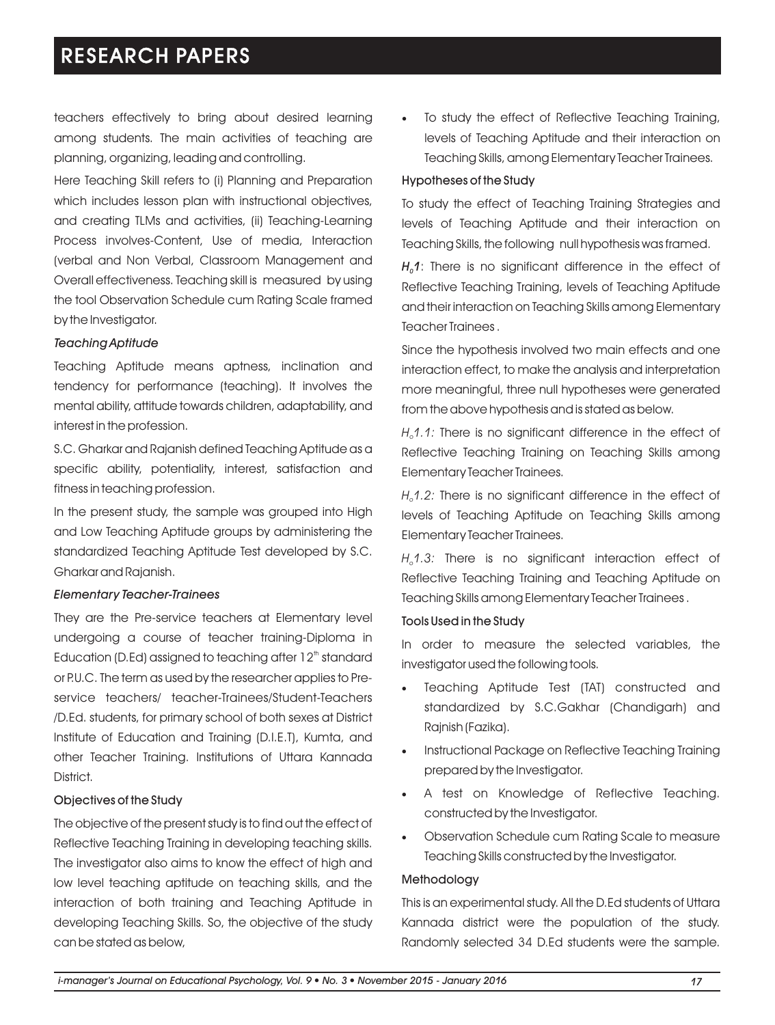teachers effectively to bring about desired learning among students. The main activities of teaching are planning, organizing, leading and controlling.

Here Teaching Skill refers to (i) Planning and Preparation which includes lesson plan with instructional objectives, and creating TLMs and activities, (ii) Teaching-Learning Process involves-Content, Use of media, Interaction (verbal and Non Verbal, Classroom Management and Overall effectiveness. Teaching skill is measured by using the tool Observation Schedule cum Rating Scale framed by the Investigator.

#### *Teaching Aptitude*

Teaching Aptitude means aptness, inclination and tendency for performance (teaching). It involves the mental ability, attitude towards children, adaptability, and interest in the profession.

S.C. Gharkar and Rajanish defined Teaching Aptitude as a specific ability, potentiality, interest, satisfaction and fitness in teaching profession.

In the present study, the sample was grouped into High and Low Teaching Aptitude groups by administering the standardized Teaching Aptitude Test developed by S.C. Gharkar and Rajanish.

#### *Elementary Teacher-Trainees*

They are the Pre-service teachers at Elementary level undergoing a course of teacher training-Diploma in Education (D.Ed) assigned to teaching after  $12<sup>th</sup>$  standard or P.U.C. The term as used by the researcher applies to Preservice teachers/ teacher-Trainees/Student-Teachers /D.Ed. students, for primary school of both sexes at District Institute of Education and Training (D.I.E.T), Kumta, and other Teacher Training. Institutions of Uttara Kannada District.

#### Objectives of the Study

The objective of the present study is to find out the effect of Reflective Teaching Training in developing teaching skills. The investigator also aims to know the effect of high and low level teaching aptitude on teaching skills, and the interaction of both training and Teaching Aptitude in developing Teaching Skills. So, the objective of the study can be stated as below,

To study the effect of Reflective Teaching Training, levels of Teaching Aptitude and their interaction on Teaching Skills, among Elementary Teacher Trainees.

#### Hypotheses of the Study

To study the effect of Teaching Training Strategies and levels of Teaching Aptitude and their interaction on Teaching Skills, the following null hypothesis was framed.

 $H_0$ 1: There is no significant difference in the effect of Reflective Teaching Training, levels of Teaching Aptitude and their interaction on Teaching Skills among Elementary Teacher Trainees .

Since the hypothesis involved two main effects and one interaction effect, to make the analysis and interpretation more meaningful, three null hypotheses were generated from the above hypothesis and is stated as below.

*H<sub>2</sub>1.1:* There is no significant difference in the effect of Reflective Teaching Training on Teaching Skills among Elementary Teacher Trainees.

*H 1.2:* There is no significant difference in the effect of *<sup>o</sup>* levels of Teaching Aptitude on Teaching Skills among Elementary Teacher Trainees.

*H 1.3:* There is no significant interaction effect of *<sup>o</sup>* Reflective Teaching Training and Teaching Aptitude on Teaching Skills among Elementary Teacher Trainees .

#### Tools Used in the Study

In order to measure the selected variables, the investigator used the following tools.

- Teaching Aptitude Test (TAT) constructed and standardized by S.C.Gakhar (Chandigarh) and Rajnish (Fazika).
- ·Instructional Package on Reflective Teaching Training prepared by the Investigator.
- A test on Knowledge of Reflective Teaching. constructed by the Investigator.
- ·Observation Schedule cum Rating Scale to measure Teaching Skills constructed by the Investigator.

#### Methodology

This is an experimental study. All the D.Ed students of Uttara Kannada district were the population of the study. Randomly selected 34 D.Ed students were the sample.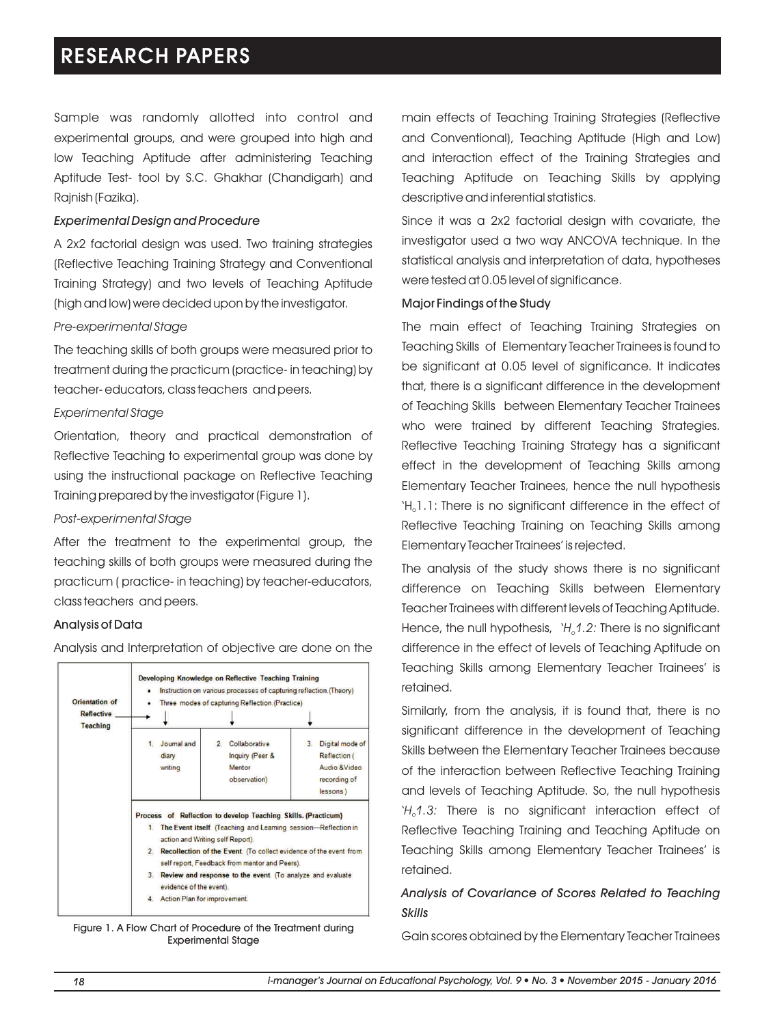Sample was randomly allotted into control and experimental groups, and were grouped into high and low Teaching Aptitude after administering Teaching Aptitude Test- tool by S.C. Ghakhar (Chandigarh) and Rajnish (Fazika).

#### *Experimental Design and Procedure*

A 2x2 factorial design was used. Two training strategies (Reflective Teaching Training Strategy and Conventional Training Strategy) and two levels of Teaching Aptitude (high and low) were decided upon by the investigator.

#### *Pre-experimental Stage*

The teaching skills of both groups were measured prior to treatment during the practicum (practice- in teaching) by teacher- educators, class teachers and peers.

#### *Experimental Stage*

Orientation, theory and practical demonstration of Reflective Teaching to experimental group was done by using the instructional package on Reflective Teaching Training prepared by the investigator (Figure 1).

#### *Post-experimental Stage*

After the treatment to the experimental group, the teaching skills of both groups were measured during the practicum ( practice- in teaching) by teacher-educators, class teachers and peers.

#### Analysis of Data



Analysis and Interpretation of objective are done on the

Figure 1. A Flow Chart of Procedure of the Treatment during Experimental Stage

main effects of Teaching Training Strategies (Reflective and Conventional), Teaching Aptitude (High and Low) and interaction effect of the Training Strategies and Teaching Aptitude on Teaching Skills by applying descriptive and inferential statistics.

Since it was a 2x2 factorial design with covariate, the investigator used a two way ANCOVA technique. In the statistical analysis and interpretation of data, hypotheses were tested at 0.05 level of significance.

#### Major Findings of the Study

The main effect of Teaching Training Strategies on Teaching Skills of Elementary Teacher Trainees is found to be significant at 0.05 level of significance. It indicates that, there is a significant difference in the development of Teaching Skills between Elementary Teacher Trainees who were trained by different Teaching Strategies. Reflective Teaching Training Strategy has a significant effect in the development of Teaching Skills among Elementary Teacher Trainees, hence the null hypothesis 'H<sub>a</sub> $1.1$ : There is no significant difference in the effect of Reflective Teaching Training on Teaching Skills among Elementary Teacher Trainees' is rejected.

The analysis of the study shows there is no significant difference on Teaching Skills between Elementary Teacher Trainees with different levels of Teaching Aptitude. Hence, the null hypothesis, *`H<sub>0</sub>1.2:* There is no significant difference in the effect of levels of Teaching Aptitude on Teaching Skills among Elementary Teacher Trainees' is retained.

Similarly, from the analysis, it is found that, there is no significant difference in the development of Teaching Skills between the Elementary Teacher Trainees because of the interaction between Reflective Teaching Training and levels of Teaching Aptitude. So, the null hypothesis '*H 1.3:* There is no significant interaction effect of *<sup>o</sup>* Reflective Teaching Training and Teaching Aptitude on Teaching Skills among Elementary Teacher Trainees' is retained.

### *Analysis of Covariance of Scores Related to Teaching Skills*

Gain scores obtained by the Elementary Teacher Trainees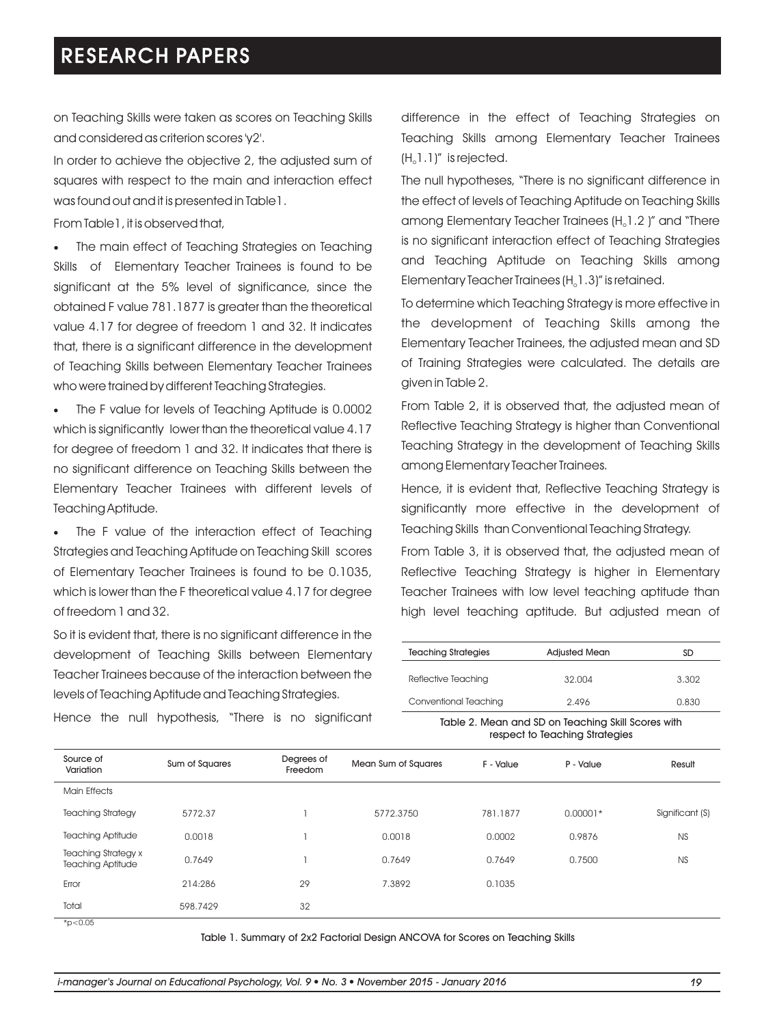on Teaching Skills were taken as scores on Teaching Skills and considered as criterion scores 'y2'.

In order to achieve the objective 2, the adjusted sum of squares with respect to the main and interaction effect was found out and it is presented in Table1.

From Table1, it is observed that,

·The main effect of Teaching Strategies on Teaching Skills of Elementary Teacher Trainees is found to be significant at the 5% level of significance, since the obtained F value 781.1877 is greater than the theoretical value 4.17 for degree of freedom 1 and 32. It indicates that, there is a significant difference in the development of Teaching Skills between Elementary Teacher Trainees who were trained by different Teaching Strategies.

The F value for levels of Teaching Aptitude is 0.0002 which is significantly lower than the theoretical value 4.17 for degree of freedom 1 and 32. It indicates that there is no significant difference on Teaching Skills between the Elementary Teacher Trainees with different levels of Teaching Aptitude.

The F value of the interaction effect of Teaching Strategies and Teaching Aptitude on Teaching Skill scores of Elementary Teacher Trainees is found to be 0.1035, which is lower than the F theoretical value 4.17 for degree of freedom 1 and 32.

So it is evident that, there is no significant difference in the development of Teaching Skills between Elementary Teacher Trainees because of the interaction between the levels of Teaching Aptitude and Teaching Strategies.

difference in the effect of Teaching Strategies on Teaching Skills among Elementary Teacher Trainees  $(H_0 1.1)'$  is rejected.

The null hypotheses, "There is no significant difference in the effect of levels of Teaching Aptitude on Teaching Skills among Elementary Teacher Trainees  $(H_0 1.2)$ " and "There is no significant interaction effect of Teaching Strategies and Teaching Aptitude on Teaching Skills among Elementary Teacher Trainees  $(H_1, 1, 3)$ " is retained.

To determine which Teaching Strategy is more effective in the development of Teaching Skills among the Elementary Teacher Trainees, the adjusted mean and SD of Training Strategies were calculated. The details are given in Table 2.

From Table 2, it is observed that, the adjusted mean of Reflective Teaching Strategy is higher than Conventional Teaching Strategy in the development of Teaching Skills among Elementary Teacher Trainees.

Hence, it is evident that, Reflective Teaching Strategy is significantly more effective in the development of Teaching Skills than Conventional Teaching Strategy.

From Table 3, it is observed that, the adjusted mean of Reflective Teaching Strategy is higher in Elementary Teacher Trainees with low level teaching aptitude than high level teaching aptitude. But adjusted mean of

| Conventional Teaching      | 2.496                | 0.830 |
|----------------------------|----------------------|-------|
| Reflective Teaching        | 32.004               | 3.302 |
| <b>Teaching Strategies</b> | <b>Adjusted Mean</b> | SD    |

Table 2. Mean and SD on Teaching Skill Scores with respect to Teaching Strategies

| Source of<br>Variation                                 | Sum of Squares | Degrees of<br>Freedom | Mean Sum of Squares | F - Value | P - Value  | Result          |
|--------------------------------------------------------|----------------|-----------------------|---------------------|-----------|------------|-----------------|
| <b>Main Effects</b>                                    |                |                       |                     |           |            |                 |
| <b>Teaching Strategy</b>                               | 5772.37        |                       | 5772.3750           | 781.1877  | $0.00001*$ | Significant (S) |
| <b>Teaching Aptitude</b>                               | 0.0018         |                       | 0.0018              | 0.0002    | 0.9876     | <b>NS</b>       |
| <b>Teaching Strategy x</b><br><b>Teaching Aptitude</b> | 0.7649         |                       | 0.7649              | 0.7649    | 0.7500     | <b>NS</b>       |
| Error                                                  | 214:286        | 29                    | 7.3892              | 0.1035    |            |                 |
| Total                                                  | 598.7429       | 32                    |                     |           |            |                 |
| * $p<0.05$                                             |                |                       |                     |           |            |                 |

Hence the null hypothesis, "There is no significant

\*p<0.05

Table 1. Summary of 2x2 Factorial Design ANCOVA for Scores on Teaching Skills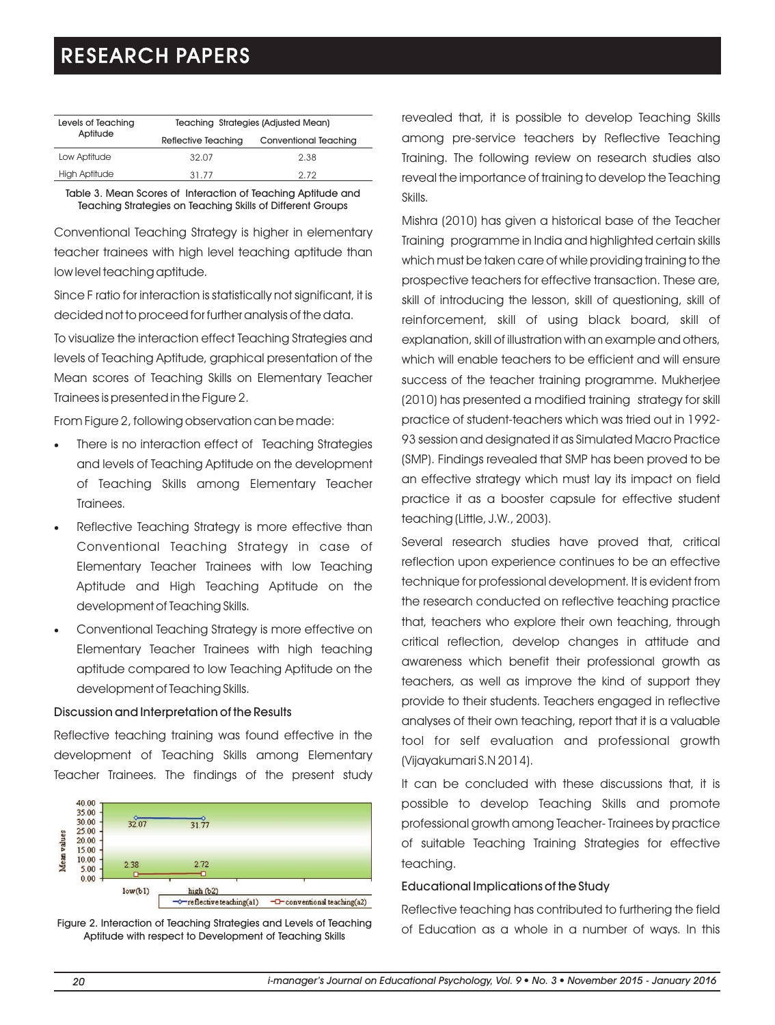| Levels of Teaching   | Teaching Strategies (Adjusted Mean) |                       |  |  |
|----------------------|-------------------------------------|-----------------------|--|--|
| Aptitude             | Reflective Teaching                 | Conventional Teaching |  |  |
| Low Aptitude         | 32.07                               | 2.38                  |  |  |
| <b>High Aptitude</b> | 31.77                               | 2.72                  |  |  |

Table 3. Mean Scores of Interaction of Teaching Aptitude and Teaching Strategies on Teaching Skills of Different Groups

Conventional Teaching Strategy is higher in elementary teacher trainees with high level teaching aptitude than low level teaching aptitude.

Since F ratio for interaction is statistically not significant, it is decided not to proceed for further analysis of the data.

To visualize the interaction effect Teaching Strategies and levels of Teaching Aptitude, graphical presentation of the Mean scores of Teaching Skills on Elementary Teacher Trainees is presented in the Figure 2.

From Figure 2, following observation can be made:

- ·There is no interaction effect of Teaching Strategies and levels of Teaching Aptitude on the development of Teaching Skills among Elementary Teacher Trainees.
- ·Reflective Teaching Strategy is more effective than Conventional Teaching Strategy in case of Elementary Teacher Trainees with low Teaching Aptitude and High Teaching Aptitude on the development of Teaching Skills.
- Conventional Teaching Strategy is more effective on Elementary Teacher Trainees with high teaching aptitude compared to low Teaching Aptitude on the development of Teaching Skills.

#### Discussion and Interpretation of the Results

Reflective teaching training was found effective in the development of Teaching Skills among Elementary Teacher Trainees. The findings of the present study



Figure 2. Interaction of Teaching Strategies and Levels of Teaching Aptitude with respect to Development of Teaching Skills

revealed that, it is possible to develop Teaching Skills among pre-service teachers by Reflective Teaching Training. The following review on research studies also reveal the importance of training to develop the Teaching Skills.

Mishra (2010) has given a historical base of the Teacher Training programme in India and highlighted certain skills which must be taken care of while providing training to the prospective teachers for effective transaction. These are, skill of introducing the lesson, skill of questioning, skill of reinforcement, skill of using black board, skill of explanation, skill of illustration with an example and others, which will enable teachers to be efficient and will ensure success of the teacher training programme. Mukherjee (2010) has presented a modified training strategy for skill practice of student-teachers which was tried out in 1992- 93 session and designated it as Simulated Macro Practice (SMP). Findings revealed that SMP has been proved to be an effective strategy which must lay its impact on field practice it as a booster capsule for effective student teaching (Little, J.W., 2003).

Several research studies have proved that, critical reflection upon experience continues to be an effective technique for professional development. It is evident from the research conducted on reflective teaching practice that, teachers who explore their own teaching, through critical reflection, develop changes in attitude and awareness which benefit their professional growth as teachers, as well as improve the kind of support they provide to their students. Teachers engaged in reflective analyses of their own teaching, report that it is a valuable tool for self evaluation and professional growth (Vijayakumari S.N 2014).

It can be concluded with these discussions that, it is possible to develop Teaching Skills and promote professional growth among Teacher- Trainees by practice of suitable Teaching Training Strategies for effective teaching.

#### Educational Implications of the Study

Reflective teaching has contributed to furthering the field of Education as a whole in a number of ways. In this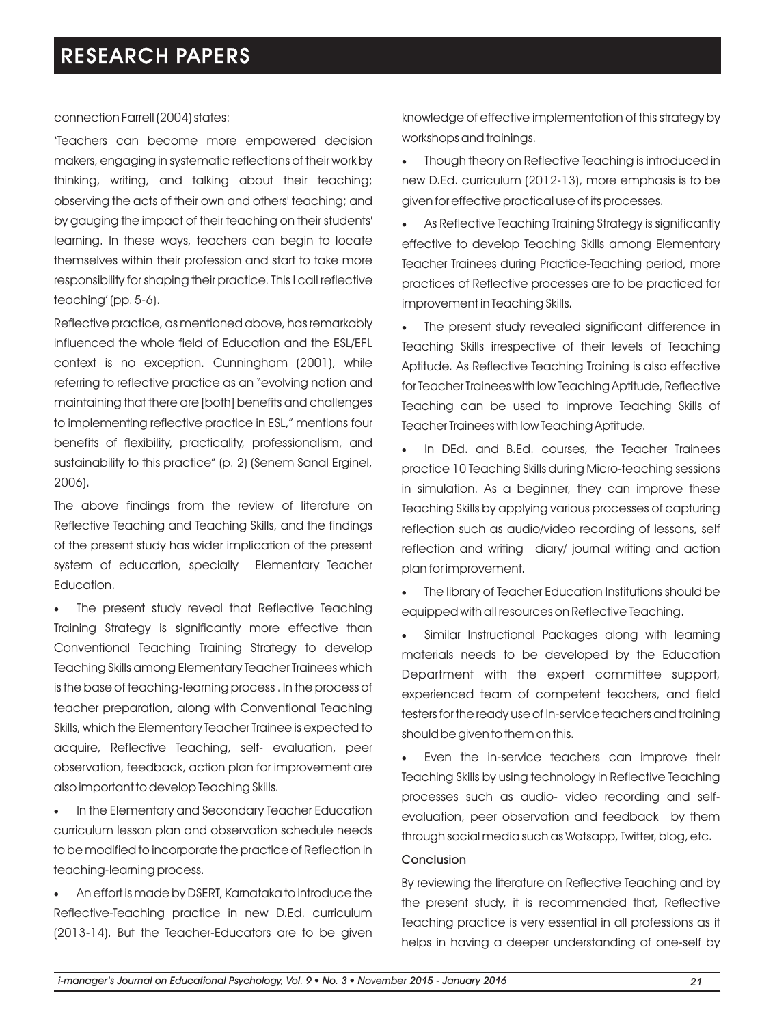#### connection Farrell (2004) states:

'Teachers can become more empowered decision makers, engaging in systematic reflections of their work by thinking, writing, and talking about their teaching; observing the acts of their own and others' teaching; and by gauging the impact of their teaching on their students' learning. In these ways, teachers can begin to locate themselves within their profession and start to take more responsibility for shaping their practice. This I call reflective teaching' (pp. 5-6).

Reflective practice, as mentioned above, has remarkably influenced the whole field of Education and the ESL/EFL context is no exception. Cunningham (2001), while referring to reflective practice as an "evolving notion and maintaining that there are [both] benefits and challenges to implementing reflective practice in ESL," mentions four benefits of flexibility, practicality, professionalism, and sustainability to this practice" (p. 2) (Senem Sanal Erginel, 2006).

The above findings from the review of literature on Reflective Teaching and Teaching Skills, and the findings of the present study has wider implication of the present system of education, specially Elementary Teacher Education.

• The present study reveal that Reflective Teaching Training Strategy is significantly more effective than Conventional Teaching Training Strategy to develop Teaching Skills among Elementary Teacher Trainees which is the base of teaching-learning process . In the process of teacher preparation, along with Conventional Teaching Skills, which the Elementary Teacher Trainee is expected to acquire, Reflective Teaching, self- evaluation, peer observation, feedback, action plan for improvement are also important to develop Teaching Skills.

·In the Elementary and Secondary Teacher Education curriculum lesson plan and observation schedule needs to be modified to incorporate the practice of Reflection in teaching-learning process.

·An effort is made by DSERT, Karnataka to introduce the Reflective-Teaching practice in new D.Ed. curriculum (2013-14). But the Teacher-Educators are to be given knowledge of effective implementation of this strategy by workshops and trainings.

·Though theory on Reflective Teaching is introduced in new D.Ed. curriculum (2012-13), more emphasis is to be given for effective practical use of its processes.

As Reflective Teaching Training Strategy is significantly effective to develop Teaching Skills among Elementary Teacher Trainees during Practice-Teaching period, more practices of Reflective processes are to be practiced for improvement in Teaching Skills.

·The present study revealed significant difference in Teaching Skills irrespective of their levels of Teaching Aptitude. As Reflective Teaching Training is also effective for Teacher Trainees with low Teaching Aptitude, Reflective Teaching can be used to improve Teaching Skills of Teacher Trainees with low Teaching Aptitude.

·In DEd. and B.Ed. courses, the Teacher Trainees practice 10 Teaching Skills during Micro-teaching sessions in simulation. As a beginner, they can improve these Teaching Skills by applying various processes of capturing reflection such as audio/video recording of lessons, self reflection and writing diary/ journal writing and action plan for improvement.

The library of Teacher Education Institutions should be equipped with all resources on Reflective Teaching.

Similar Instructional Packages along with learning materials needs to be developed by the Education Department with the expert committee support, experienced team of competent teachers, and field testers for the ready use of In-service teachers and training should be given to them on this.

Even the in-service teachers can improve their Teaching Skills by using technology in Reflective Teaching processes such as audio- video recording and selfevaluation, peer observation and feedback by them through social media such as Watsapp, Twitter, blog, etc.

#### Conclusion

By reviewing the literature on Reflective Teaching and by the present study, it is recommended that, Reflective Teaching practice is very essential in all professions as it helps in having a deeper understanding of one-self by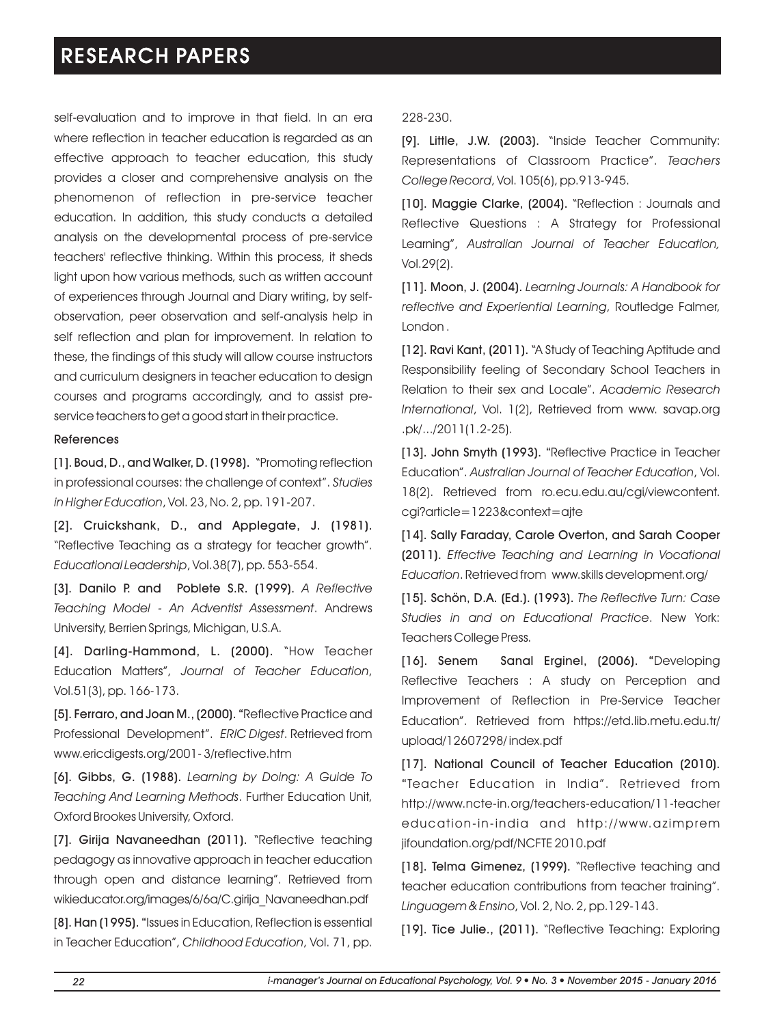self-evaluation and to improve in that field. In an era where reflection in teacher education is regarded as an effective approach to teacher education, this study provides a closer and comprehensive analysis on the phenomenon of reflection in pre-service teacher education. In addition, this study conducts a detailed analysis on the developmental process of pre-service teachers' reflective thinking. Within this process, it sheds light upon how various methods, such as written account of experiences through Journal and Diary writing, by selfobservation, peer observation and self-analysis help in self reflection and plan for improvement. In relation to these, the findings of this study will allow course instructors and curriculum designers in teacher education to design courses and programs accordingly, and to assist preservice teachers to get a good start in their practice.

#### References

[1]. Boud, D., and Walker, D. (1998). "Promoting reflection in professional courses: the challenge of context". *Studies in Higher Education*, Vol. 23, No. 2, pp. 191-207.

[2]. Cruickshank, D., and Applegate, J. (1981). "Reflective Teaching as a strategy for teacher growth". *Educational Leadership*, Vol.38(7), pp. 553-554.

[3]. Danilo P. and Poblete S.R. (1999). *A Reflective Teaching Model - An Adventist Assessment*. Andrews University, Berrien Springs, Michigan, U.S.A.

[4]. Darling-Hammond, L. (2000). "How Teacher Education Matters", *Journal of Teacher Education*, Vol.51(3), pp. 166-173.

[5]. Ferraro, and Joan M., (2000). "Reflective Practice and Professional Development". *ERIC Digest*. Retrieved from www.ericdigests.org/2001- 3/reflective.htm

[6]. Gibbs, G. (1988). *Learning by Doing: A Guide To Teaching And Learning Methods*. Further Education Unit, Oxford Brookes University, Oxford.

[7]. Girija Navaneedhan (2011). "Reflective teaching pedagogy as innovative approach in teacher education through open and distance learning". Retrieved from wikieducator.org/images/6/6a/C.girija\_Navaneedhan.pdf

[8]. Han (1995). "Issues in Education, Reflection is essential in Teacher Education", *Childhood Education*, Vol. 71, pp.

#### 228-230.

[9]. Little, J.W. (2003). "Inside Teacher Community: Representations of Classroom Practice". *Teachers College Record*, Vol. 105(6), pp.913-945.

[10]. Maggie Clarke, (2004). "Reflection: Journals and Reflective Questions : A Strategy for Professional Learning", *Australian Journal of Teacher Education,* Vol.29(2).

[11]. Moon, J. (2004). *Learning Journals: A Handbook for reflective and Experiential Learning*, Routledge Falmer, London .

[12]. Ravi Kant, (2011). "A Study of Teaching Aptitude and Responsibility feeling of Secondary School Teachers in Relation to their sex and Locale". *Academic Research International*, Vol. 1(2), Retrieved from www. savap.org .pk/.../2011(1.2-25).

[13]. John Smyth (1993). "Reflective Practice in Teacher Education". *Australian Journal of Teacher Education*, Vol. 18(2). Retrieved from ro.ecu.edu.au/cgi/viewcontent. cgi?article=1223&context=ajte

[14]. Sally Faraday, Carole Overton, and Sarah Cooper (2011). *Effective Teaching and Learning in Vocational Education*. Retrieved from www.skills development.org/

[15]. Schön, D.A. (Ed.). (1993). *The Reflective Turn: Case Studies in and on Educational Practice*. New York: Teachers College Press.

[16]. Senem Sanal Erginel, (2006). "Developing Reflective Teachers : A study on Perception and Improvement of Reflection in Pre-Service Teacher Education". Retrieved from https://etd.lib.metu.edu.tr/ upload/12607298/ index.pdf

[17]. National Council of Teacher Education (2010). "Teacher Education in India". Retrieved from http://www.ncte-in.org/teachers-education/11-teacher education-in-india and http://www.azimprem jifoundation.org/pdf/NCFTE 2010.pdf

[18]. Telma Gimenez, (1999). "Reflective teaching and teacher education contributions from teacher training". *Linguagem & Ensino*, Vol. 2, No. 2, pp.129-143.

[19]. Tice Julie., (2011). "Reflective Teaching: Exploring